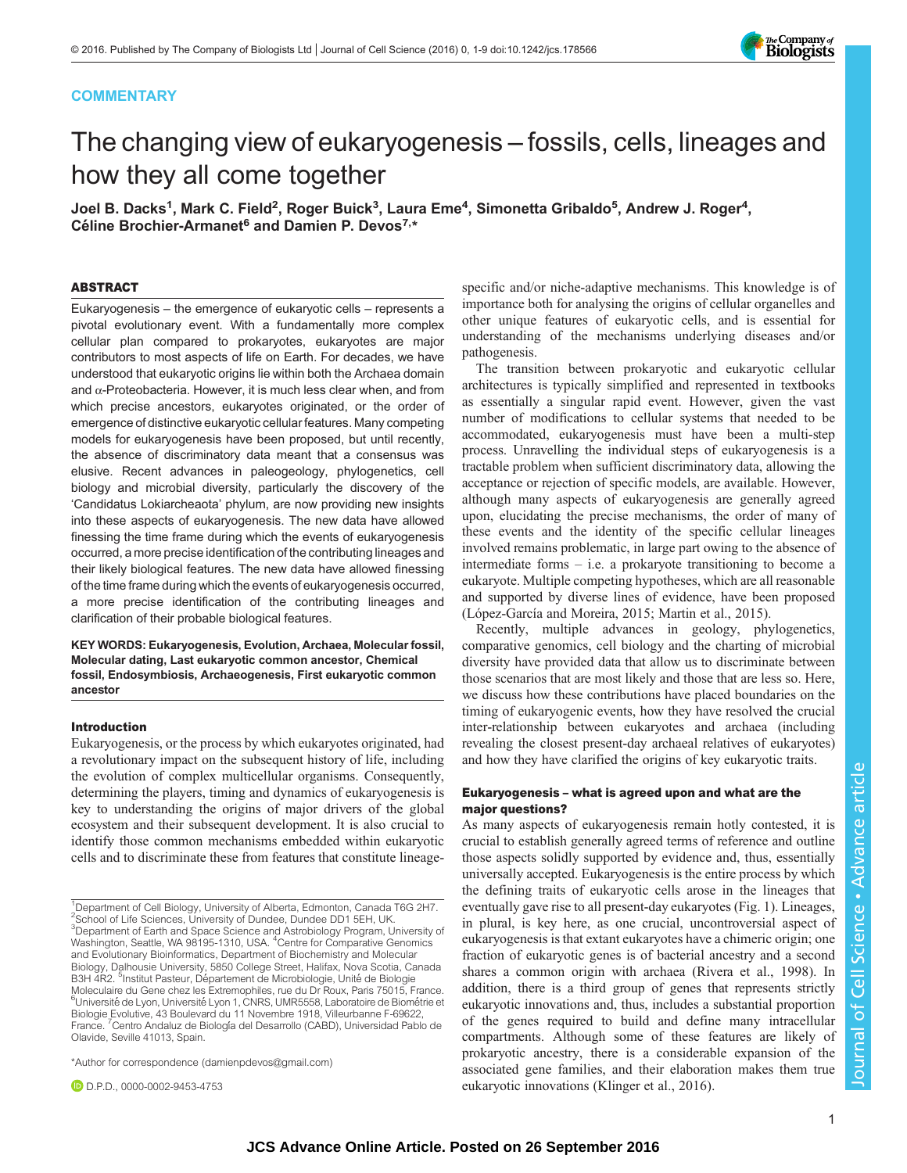# **COMMENTARY**



# The changing view of eukaryogenesis – fossils, cells, lineages and how they all come together

Joel B. Dacks<sup>1</sup>, Mark C. Field<sup>2</sup>, Roger Buick<sup>3</sup>, Laura Eme<sup>4</sup>, Simonetta Gribaldo<sup>5</sup>, Andrew J. Roger<sup>4</sup>, Céline Brochier-Armanet<sup>6</sup> and Damien P. Devos<sup>7,\*</sup>

## ABSTRACT

Eukaryogenesis – the emergence of eukaryotic cells – represents a pivotal evolutionary event. With a fundamentally more complex cellular plan compared to prokaryotes, eukaryotes are major contributors to most aspects of life on Earth. For decades, we have understood that eukaryotic origins lie within both the Archaea domain and α-Proteobacteria. However, it is much less clear when, and from which precise ancestors, eukaryotes originated, or the order of emergence of distinctive eukaryotic cellular features. Many competing models for eukaryogenesis have been proposed, but until recently, the absence of discriminatory data meant that a consensus was elusive. Recent advances in paleogeology, phylogenetics, cell biology and microbial diversity, particularly the discovery of the 'Candidatus Lokiarcheaota' phylum, are now providing new insights into these aspects of eukaryogenesis. The new data have allowed finessing the time frame during which the events of eukaryogenesis occurred, a more precise identification of the contributing lineages and their likely biological features. The new data have allowed finessing of the time frame during which the events of eukaryogenesis occurred, a more precise identification of the contributing lineages and clarification of their probable biological features.

KEY WORDS: Eukaryogenesis, Evolution, Archaea, Molecular fossil, Molecular dating, Last eukaryotic common ancestor, Chemical fossil, Endosymbiosis, Archaeogenesis, First eukaryotic common ancestor

### Introduction

Eukaryogenesis, or the process by which eukaryotes originated, had a revolutionary impact on the subsequent history of life, including the evolution of complex multicellular organisms. Consequently, determining the players, timing and dynamics of eukaryogenesis is key to understanding the origins of major drivers of the global ecosystem and their subsequent development. It is also crucial to identify those common mechanisms embedded within eukaryotic cells and to discriminate these from features that constitute lineage-

\*Author for correspondence [\(damienpdevos@gmail.com\)](mailto:damienpdevos@gmail.com)

**D.P.D., [0000-0002-9453-4753](http://orcid.org/0000-0002-9453-4753)** 

specific and/or niche-adaptive mechanisms. This knowledge is of importance both for analysing the origins of cellular organelles and other unique features of eukaryotic cells, and is essential for understanding of the mechanisms underlying diseases and/or pathogenesis.

The transition between prokaryotic and eukaryotic cellular architectures is typically simplified and represented in textbooks as essentially a singular rapid event. However, given the vast number of modifications to cellular systems that needed to be accommodated, eukaryogenesis must have been a multi-step process. Unravelling the individual steps of eukaryogenesis is a tractable problem when sufficient discriminatory data, allowing the acceptance or rejection of specific models, are available. However, although many aspects of eukaryogenesis are generally agreed upon, elucidating the precise mechanisms, the order of many of these events and the identity of the specific cellular lineages involved remains problematic, in large part owing to the absence of intermediate forms – i.e. a prokaryote transitioning to become a eukaryote. Multiple competing hypotheses, which are all reasonable and supported by diverse lines of evidence, have been proposed [\(López-García and Moreira, 2015](#page-8-0); [Martin et al., 2015](#page-8-0)).

Recently, multiple advances in geology, phylogenetics, comparative genomics, cell biology and the charting of microbial diversity have provided data that allow us to discriminate between those scenarios that are most likely and those that are less so. Here, we discuss how these contributions have placed boundaries on the timing of eukaryogenic events, how they have resolved the crucial inter-relationship between eukaryotes and archaea (including revealing the closest present-day archaeal relatives of eukaryotes) and how they have clarified the origins of key eukaryotic traits.

# Eukaryogenesis – what is agreed upon and what are the major questions?

As many aspects of eukaryogenesis remain hotly contested, it is crucial to establish generally agreed terms of reference and outline those aspects solidly supported by evidence and, thus, essentially universally accepted. Eukaryogenesis is the entire process by which the defining traits of eukaryotic cells arose in the lineages that eventually gave rise to all present-day eukaryotes ([Fig. 1](#page-1-0)). Lineages, in plural, is key here, as one crucial, uncontroversial aspect of eukaryogenesis is that extant eukaryotes have a chimeric origin; one fraction of eukaryotic genes is of bacterial ancestry and a second shares a common origin with archaea [\(Rivera et al., 1998](#page-8-0)). In addition, there is a third group of genes that represents strictly eukaryotic innovations and, thus, includes a substantial proportion of the genes required to build and define many intracellular compartments. Although some of these features are likely of prokaryotic ancestry, there is a considerable expansion of the associated gene families, and their elaboration makes them true eukaryotic innovations ([Klinger et al., 2016](#page-7-0)).

<sup>&</sup>lt;sup>1</sup>Department of Cell Biology, University of Alberta, Edmonton, Canada T6G 2H7. <sup>2</sup>School of Life Sciences, University of Dundee, Dundee DD1 5EH, UK. <sup>3</sup>Department of Earth and Space Science and Astrobiology Program, University of Washington, Seattle, WA 98195-1310, USA. <sup>4</sup>Centre for Comparative Genomics and Evolutionary Bioinformatics, Department of Biochemistry and Molecular Biology, Dalhousie University, 5850 College Street, Halifax, Nova Scotia, Canada B3H 4R2. <sup>5</sup>Institut Pasteur, Département de Microbiologie, Unité de Biologie Moleculaire du Gene chez les Extremophiles, rue du Dr Roux, Paris 75015, France. <sup>6</sup>Université de Lyon, Université Lyon 1, CNRS, UMR5558, Laboratoire de Biométrie et Biologie Evolutive, 43 Boulevard du 11 Novembre 1918, Villeurbanne F-69622, France.<sup>7</sup> Centro Andaluz de Biología del Desarrollo (CABD), Universidad Pablo de Olavide, Seville 41013, Spain.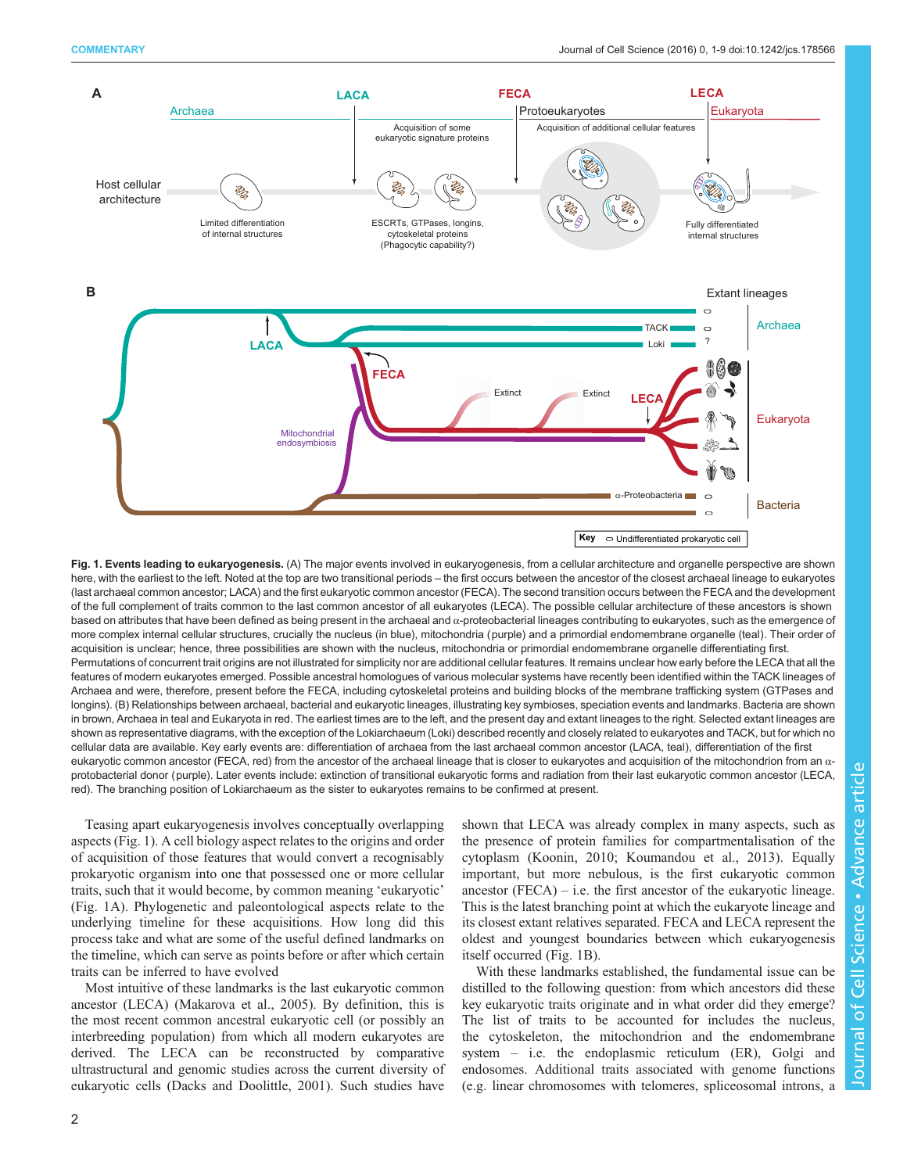<span id="page-1-0"></span>

Fig. 1. Events leading to eukaryogenesis. (A) The major events involved in eukaryogenesis, from a cellular architecture and organelle perspective are shown here, with the earliest to the left. Noted at the top are two transitional periods – the first occurs between the ancestor of the closest archaeal lineage to eukaryotes (last archaeal common ancestor; LACA) and the first eukaryotic common ancestor (FECA). The second transition occurs between the FECA and the development of the full complement of traits common to the last common ancestor of all eukaryotes (LECA). The possible cellular architecture of these ancestors is shown based on attributes that have been defined as being present in the archaeal and α-proteobacterial lineages contributing to eukaryotes, such as the emergence of more complex internal cellular structures, crucially the nucleus (in blue), mitochondria (purple) and a primordial endomembrane organelle (teal). Their order of acquisition is unclear; hence, three possibilities are shown with the nucleus, mitochondria or primordial endomembrane organelle differentiating first. Permutations of concurrent trait origins are not illustrated for simplicity nor are additional cellular features. It remains unclear how early before the LECA that all the features of modern eukaryotes emerged. Possible ancestral homologues of various molecular systems have recently been identified within the TACK lineages of Archaea and were, therefore, present before the FECA, including cytoskeletal proteins and building blocks of the membrane trafficking system (GTPases and longins). (B) Relationships between archaeal, bacterial and eukaryotic lineages, illustrating key symbioses, speciation events and landmarks. Bacteria are shown in brown, Archaea in teal and Eukaryota in red. The earliest times are to the left, and the present day and extant lineages to the right. Selected extant lineages are shown as representative diagrams, with the exception of the Lokiarchaeum (Loki) described recently and closely related to eukaryotes and TACK, but for which no cellular data are available. Key early events are: differentiation of archaea from the last archaeal common ancestor (LACA, teal), differentiation of the first eukaryotic common ancestor (FECA, red) from the ancestor of the archaeal lineage that is closer to eukaryotes and acquisition of the mitochondrion from an αprotobacterial donor (purple). Later events include: extinction of transitional eukaryotic forms and radiation from their last eukaryotic common ancestor (LECA, red). The branching position of Lokiarchaeum as the sister to eukaryotes remains to be confirmed at present.

Teasing apart eukaryogenesis involves conceptually overlapping aspects (Fig. 1). A cell biology aspect relates to the origins and order of acquisition of those features that would convert a recognisably prokaryotic organism into one that possessed one or more cellular traits, such that it would become, by common meaning 'eukaryotic' (Fig. 1A). Phylogenetic and paleontological aspects relate to the underlying timeline for these acquisitions. How long did this process take and what are some of the useful defined landmarks on the timeline, which can serve as points before or after which certain traits can be inferred to have evolved

Most intuitive of these landmarks is the last eukaryotic common ancestor (LECA) ([Makarova et al., 2005](#page-8-0)). By definition, this is the most recent common ancestral eukaryotic cell (or possibly an interbreeding population) from which all modern eukaryotes are derived. The LECA can be reconstructed by comparative ultrastructural and genomic studies across the current diversity of eukaryotic cells ([Dacks and Doolittle, 2001\)](#page-7-0). Such studies have shown that LECA was already complex in many aspects, such as the presence of protein families for compartmentalisation of the cytoplasm [\(Koonin, 2010; Koumandou et al., 2013\)](#page-7-0). Equally important, but more nebulous, is the first eukaryotic common ancestor  $(FECA) - i.e.$  the first ancestor of the eukaryotic lineage. This is the latest branching point at which the eukaryote lineage and its closest extant relatives separated. FECA and LECA represent the oldest and youngest boundaries between which eukaryogenesis itself occurred (Fig. 1B).

With these landmarks established, the fundamental issue can be distilled to the following question: from which ancestors did these key eukaryotic traits originate and in what order did they emerge? The list of traits to be accounted for includes the nucleus, the cytoskeleton, the mitochondrion and the endomembrane system – i.e. the endoplasmic reticulum (ER), Golgi and endosomes. Additional traits associated with genome functions (e.g. linear chromosomes with telomeres, spliceosomal introns, a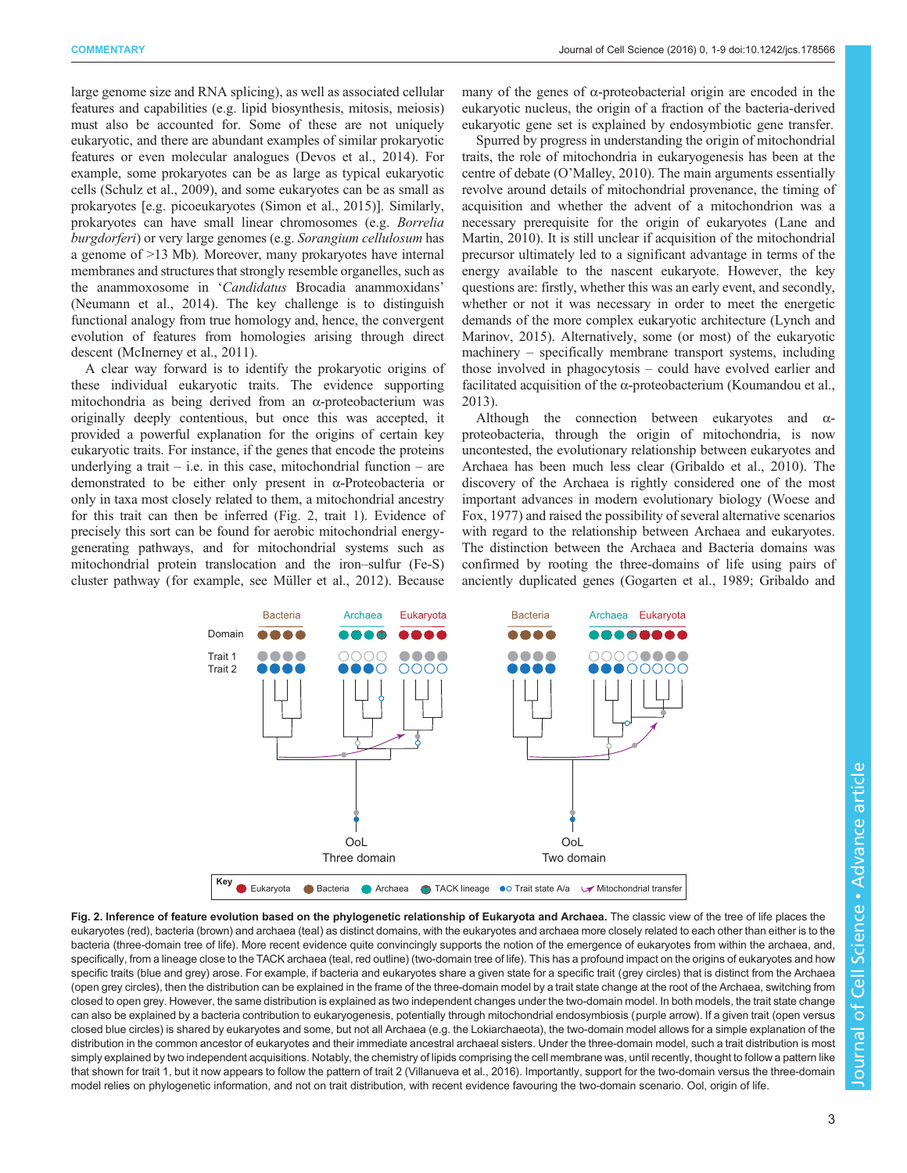<span id="page-2-0"></span>large genome size and RNA splicing), as well as associated cellular features and capabilities (e.g. lipid biosynthesis, mitosis, meiosis) must also be accounted for. Some of these are not uniquely eukaryotic, and there are abundant examples of similar prokaryotic features or even molecular analogues ([Devos et al., 2014](#page-7-0)). For example, some prokaryotes can be as large as typical eukaryotic cells ([Schulz et al., 2009\)](#page-8-0), and some eukaryotes can be as small as prokaryotes [e.g. picoeukaryotes ([Simon et al., 2015\)](#page-8-0)]. Similarly, prokaryotes can have small linear chromosomes (e.g. Borrelia burgdorferi) or very large genomes (e.g. Sorangium cellulosum has a genome of >13 Mb). Moreover, many prokaryotes have internal membranes and structures that strongly resemble organelles, such as the anammoxosome in 'Candidatus Brocadia anammoxidans' [\(Neumann et al., 2014](#page-8-0)). The key challenge is to distinguish functional analogy from true homology and, hence, the convergent evolution of features from homologies arising through direct descent [\(McInerney et al., 2011\)](#page-8-0).

A clear way forward is to identify the prokaryotic origins of these individual eukaryotic traits. The evidence supporting mitochondria as being derived from an  $\alpha$ -proteobacterium was originally deeply contentious, but once this was accepted, it provided a powerful explanation for the origins of certain key eukaryotic traits. For instance, if the genes that encode the proteins underlying a trait  $-$  i.e. in this case, mitochondrial function  $-$  are demonstrated to be either only present in α-Proteobacteria or only in taxa most closely related to them, a mitochondrial ancestry for this trait can then be inferred (Fig. 2, trait 1). Evidence of precisely this sort can be found for aerobic mitochondrial energygenerating pathways, and for mitochondrial systems such as mitochondrial protein translocation and the iron–sulfur (Fe-S) cluster pathway (for example, see [Müller et al., 2012](#page-8-0)). Because

many of the genes of  $\alpha$ -proteobacterial origin are encoded in the eukaryotic nucleus, the origin of a fraction of the bacteria-derived eukaryotic gene set is explained by endosymbiotic gene transfer.

Spurred by progress in understanding the origin of mitochondrial traits, the role of mitochondria in eukaryogenesis has been at the centre of debate (O'[Malley, 2010\)](#page-8-0). The main arguments essentially revolve around details of mitochondrial provenance, the timing of acquisition and whether the advent of a mitochondrion was a necessary prerequisite for the origin of eukaryotes [\(Lane and](#page-7-0) [Martin, 2010\)](#page-7-0). It is still unclear if acquisition of the mitochondrial precursor ultimately led to a significant advantage in terms of the energy available to the nascent eukaryote. However, the key questions are: firstly, whether this was an early event, and secondly, whether or not it was necessary in order to meet the energetic demands of the more complex eukaryotic architecture [\(Lynch and](#page-8-0) [Marinov, 2015\)](#page-8-0). Alternatively, some (or most) of the eukaryotic machinery – specifically membrane transport systems, including those involved in phagocytosis – could have evolved earlier and facilitated acquisition of the α-proteobacterium [\(Koumandou et al.,](#page-7-0) [2013\)](#page-7-0).

Although the connection between eukaryotes and  $\alpha$ proteobacteria, through the origin of mitochondria, is now uncontested, the evolutionary relationship between eukaryotes and Archaea has been much less clear ([Gribaldo et al., 2010\)](#page-7-0). The discovery of the Archaea is rightly considered one of the most important advances in modern evolutionary biology [\(Woese and](#page-8-0) [Fox, 1977\)](#page-8-0) and raised the possibility of several alternative scenarios with regard to the relationship between Archaea and eukaryotes. The distinction between the Archaea and Bacteria domains was confirmed by rooting the three-domains of life using pairs of anciently duplicated genes [\(Gogarten et al., 1989](#page-7-0); [Gribaldo and](#page-7-0)



Fig. 2. Inference of feature evolution based on the phylogenetic relationship of Eukaryota and Archaea. The classic view of the tree of life places the eukaryotes (red), bacteria (brown) and archaea (teal) as distinct domains, with the eukaryotes and archaea more closely related to each other than either is to the bacteria (three-domain tree of life). More recent evidence quite convincingly supports the notion of the emergence of eukaryotes from within the archaea, and, specifically, from a lineage close to the TACK archaea (teal, red outline) (two-domain tree of life). This has a profound impact on the origins of eukaryotes and how specific traits (blue and grey) arose. For example, if bacteria and eukaryotes share a given state for a specific trait (grey circles) that is distinct from the Archaea (open grey circles), then the distribution can be explained in the frame of the three-domain model by a trait state change at the root of the Archaea, switching from closed to open grey. However, the same distribution is explained as two independent changes under the two-domain model. In both models, the trait state change can also be explained by a bacteria contribution to eukaryogenesis, potentially through mitochondrial endosymbiosis (purple arrow). If a given trait (open versus closed blue circles) is shared by eukaryotes and some, but not all Archaea (e.g. the Lokiarchaeota), the two-domain model allows for a simple explanation of the distribution in the common ancestor of eukaryotes and their immediate ancestral archaeal sisters. Under the three-domain model, such a trait distribution is most simply explained by two independent acquisitions. Notably, the chemistry of lipids comprising the cell membrane was, until recently, thought to follow a pattern like that shown for trait 1, but it now appears to follow the pattern of trait 2 ([Villanueva et al., 2016](#page-8-0)). Importantly, support for the two-domain versus the three-domain model relies on phylogenetic information, and not on trait distribution, with recent evidence favouring the two-domain scenario. Ool, origin of life.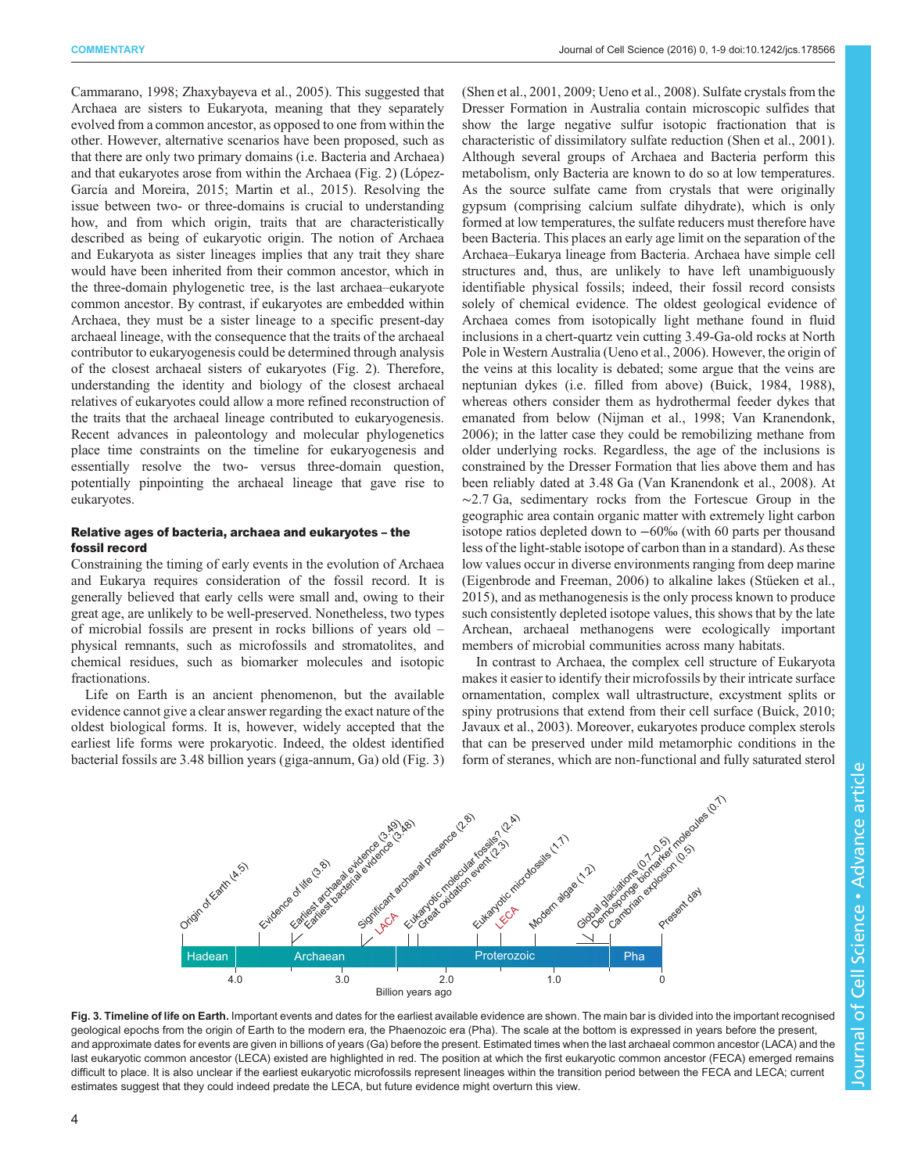[Cammarano, 1998;](#page-7-0) [Zhaxybayeva et al., 2005\)](#page-8-0). This suggested that Archaea are sisters to Eukaryota, meaning that they separately evolved from a common ancestor, as opposed to one from within the other. However, alternative scenarios have been proposed, such as that there are only two primary domains (i.e. Bacteria and Archaea) and that eukaryotes arose from within the Archaea ([Fig. 2\)](#page-2-0) [\(López-](#page-8-0)[García and Moreira, 2015; Martin et al., 2015\)](#page-8-0). Resolving the issue between two- or three-domains is crucial to understanding how, and from which origin, traits that are characteristically described as being of eukaryotic origin. The notion of Archaea and Eukaryota as sister lineages implies that any trait they share would have been inherited from their common ancestor, which in the three-domain phylogenetic tree, is the last archaea–eukaryote common ancestor. By contrast, if eukaryotes are embedded within Archaea, they must be a sister lineage to a specific present-day archaeal lineage, with the consequence that the traits of the archaeal contributor to eukaryogenesis could be determined through analysis of the closest archaeal sisters of eukaryotes ([Fig. 2](#page-2-0)). Therefore, understanding the identity and biology of the closest archaeal relatives of eukaryotes could allow a more refined reconstruction of the traits that the archaeal lineage contributed to eukaryogenesis. Recent advances in paleontology and molecular phylogenetics place time constraints on the timeline for eukaryogenesis and essentially resolve the two- versus three-domain question, potentially pinpointing the archaeal lineage that gave rise to eukaryotes.

## Relative ages of bacteria, archaea and eukaryotes – the fossil record

Constraining the timing of early events in the evolution of Archaea and Eukarya requires consideration of the fossil record. It is generally believed that early cells were small and, owing to their great age, are unlikely to be well-preserved. Nonetheless, two types of microbial fossils are present in rocks billions of years old – physical remnants, such as microfossils and stromatolites, and chemical residues, such as biomarker molecules and isotopic fractionations.

Life on Earth is an ancient phenomenon, but the available evidence cannot give a clear answer regarding the exact nature of the oldest biological forms. It is, however, widely accepted that the earliest life forms were prokaryotic. Indeed, the oldest identified bacterial fossils are 3.48 billion years (giga-annum, Ga) old (Fig. 3)

[\(Shen et al., 2001, 2009; Ueno et al., 2008](#page-8-0)). Sulfate crystals from the Dresser Formation in Australia contain microscopic sulfides that show the large negative sulfur isotopic fractionation that is characteristic of dissimilatory sulfate reduction [\(Shen et al., 2001\)](#page-8-0). Although several groups of Archaea and Bacteria perform this metabolism, only Bacteria are known to do so at low temperatures. As the source sulfate came from crystals that were originally gypsum (comprising calcium sulfate dihydrate), which is only formed at low temperatures, the sulfate reducers must therefore have been Bacteria. This places an early age limit on the separation of the Archaea–Eukarya lineage from Bacteria. Archaea have simple cell structures and, thus, are unlikely to have left unambiguously identifiable physical fossils; indeed, their fossil record consists solely of chemical evidence. The oldest geological evidence of Archaea comes from isotopically light methane found in fluid inclusions in a chert-quartz vein cutting 3.49-Ga-old rocks at North Pole in Western Australia ([Ueno et al., 2006](#page-8-0)). However, the origin of the veins at this locality is debated; some argue that the veins are neptunian dykes (i.e. filled from above) ([Buick, 1984, 1988\)](#page-7-0), whereas others consider them as hydrothermal feeder dykes that emanated from below ([Nijman et al., 1998](#page-8-0); [Van Kranendonk,](#page-8-0) [2006\)](#page-8-0); in the latter case they could be remobilizing methane from older underlying rocks. Regardless, the age of the inclusions is constrained by the Dresser Formation that lies above them and has been reliably dated at 3.48 Ga [\(Van Kranendonk et al., 2008\)](#page-8-0). At ∼2.7 Ga, sedimentary rocks from the Fortescue Group in the geographic area contain organic matter with extremely light carbon isotope ratios depleted down to −60‰ (with 60 parts per thousand less of the light-stable isotope of carbon than in a standard). As these low values occur in diverse environments ranging from deep marine [\(Eigenbrode and Freeman, 2006](#page-7-0)) to alkaline lakes ([Stüeken et al.,](#page-8-0) [2015\)](#page-8-0), and as methanogenesis is the only process known to produce such consistently depleted isotope values, this shows that by the late Archean, archaeal methanogens were ecologically important members of microbial communities across many habitats.

In contrast to Archaea, the complex cell structure of Eukaryota makes it easier to identify their microfossils by their intricate surface ornamentation, complex wall ultrastructure, excystment splits or spiny protrusions that extend from their cell surface ([Buick, 2010](#page-7-0); [Javaux et al., 2003\)](#page-7-0). Moreover, eukaryotes produce complex sterols that can be preserved under mild metamorphic conditions in the form of steranes, which are non-functional and fully saturated sterol



Fig. 3. Timeline of life on Earth. Important events and dates for the earliest available evidence are shown. The main bar is divided into the important recognised geological epochs from the origin of Earth to the modern era, the Phaenozoic era (Pha). The scale at the bottom is expressed in years before the present, and approximate dates for events are given in billions of years (Ga) before the present. Estimated times when the last archaeal common ancestor (LACA) and the last eukaryotic common ancestor (LECA) existed are highlighted in red. The position at which the first eukaryotic common ancestor (FECA) emerged remains difficult to place. It is also unclear if the earliest eukaryotic microfossils represent lineages within the transition period between the FECA and LECA; current estimates suggest that they could indeed predate the LECA, but future evidence might overturn this view.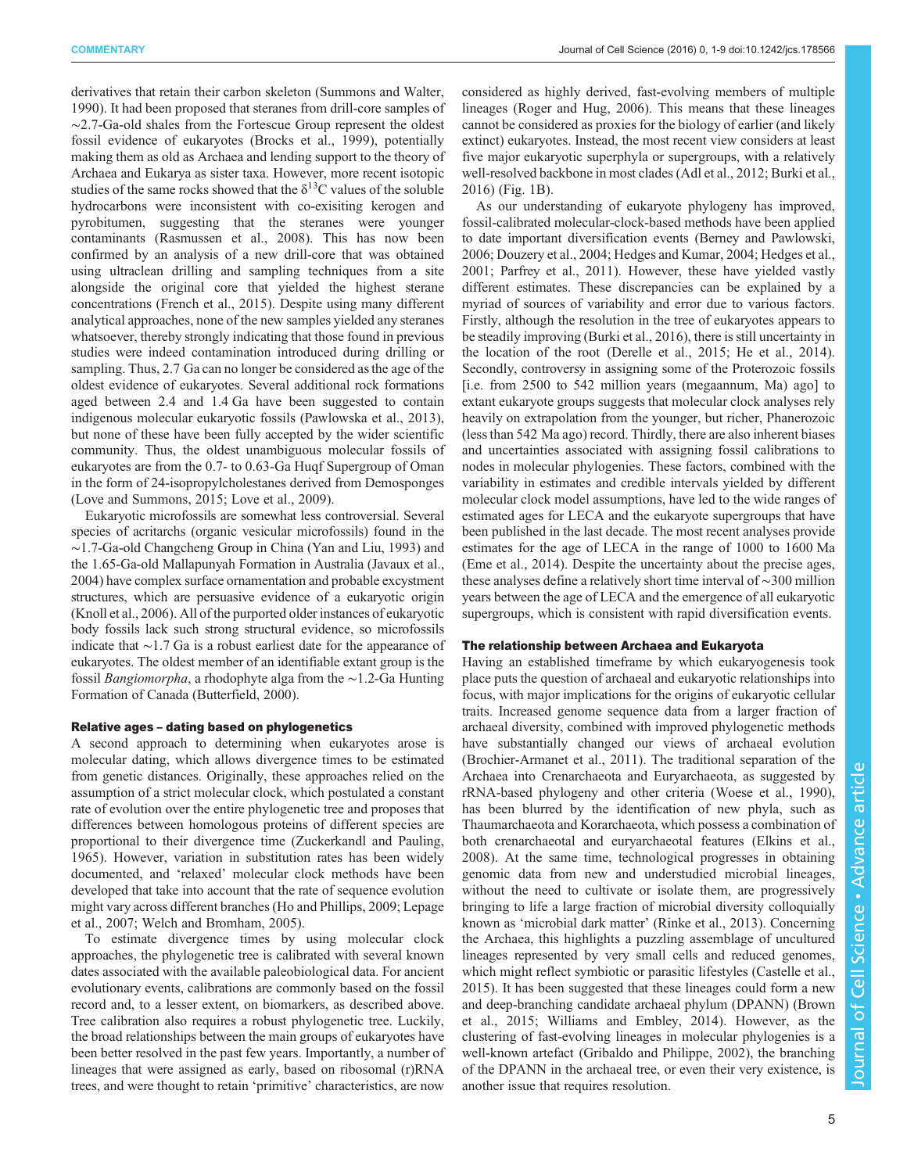derivatives that retain their carbon skeleton ([Summons and Walter,](#page-8-0) [1990](#page-8-0)). It had been proposed that steranes from drill-core samples of ∼2.7-Ga-old shales from the Fortescue Group represent the oldest fossil evidence of eukaryotes ([Brocks et al., 1999\)](#page-7-0), potentially making them as old as Archaea and lending support to the theory of Archaea and Eukarya as sister taxa. However, more recent isotopic studies of the same rocks showed that the  $\delta^{13}$ C values of the soluble hydrocarbons were inconsistent with co-exisiting kerogen and pyrobitumen, suggesting that the steranes were younger contaminants ([Rasmussen et al., 2008](#page-8-0)). This has now been confirmed by an analysis of a new drill-core that was obtained using ultraclean drilling and sampling techniques from a site alongside the original core that yielded the highest sterane concentrations ([French et al., 2015\)](#page-7-0). Despite using many different analytical approaches, none of the new samples yielded any steranes whatsoever, thereby strongly indicating that those found in previous studies were indeed contamination introduced during drilling or sampling. Thus, 2.7 Ga can no longer be considered as the age of the oldest evidence of eukaryotes. Several additional rock formations aged between 2.4 and 1.4 Ga have been suggested to contain indigenous molecular eukaryotic fossils ([Pawlowska et al., 2013\)](#page-8-0), but none of these have been fully accepted by the wider scientific community. Thus, the oldest unambiguous molecular fossils of eukaryotes are from the 0.7- to 0.63-Ga Huqf Supergroup of Oman in the form of 24-isopropylcholestanes derived from Demosponges [\(Love and Summons, 2015; Love et al., 2009\)](#page-8-0).

Eukaryotic microfossils are somewhat less controversial. Several species of acritarchs (organic vesicular microfossils) found in the ∼1.7-Ga-old Changcheng Group in China ([Yan and Liu, 1993\)](#page-8-0) and the 1.65-Ga-old Mallapunyah Formation in Australia [\(Javaux et al.,](#page-7-0) [2004\)](#page-7-0) have complex surface ornamentation and probable excystment structures, which are persuasive evidence of a eukaryotic origin [\(Knoll et al., 2006](#page-7-0)). All of the purported older instances of eukaryotic body fossils lack such strong structural evidence, so microfossils indicate that ∼1.7 Ga is a robust earliest date for the appearance of eukaryotes. The oldest member of an identifiable extant group is the fossil Bangiomorpha, a rhodophyte alga from the ∼1.2-Ga Hunting Formation of Canada [\(Butterfield, 2000\)](#page-7-0).

## Relative ages – dating based on phylogenetics

A second approach to determining when eukaryotes arose is molecular dating, which allows divergence times to be estimated from genetic distances. Originally, these approaches relied on the assumption of a strict molecular clock, which postulated a constant rate of evolution over the entire phylogenetic tree and proposes that differences between homologous proteins of different species are proportional to their divergence time ([Zuckerkandl and Pauling,](#page-8-0) [1965](#page-8-0)). However, variation in substitution rates has been widely documented, and 'relaxed' molecular clock methods have been developed that take into account that the rate of sequence evolution might vary across different branches [\(Ho and Phillips, 2009; Lepage](#page-7-0) [et al., 2007;](#page-7-0) [Welch and Bromham, 2005\)](#page-8-0).

To estimate divergence times by using molecular clock approaches, the phylogenetic tree is calibrated with several known dates associated with the available paleobiological data. For ancient evolutionary events, calibrations are commonly based on the fossil record and, to a lesser extent, on biomarkers, as described above. Tree calibration also requires a robust phylogenetic tree. Luckily, the broad relationships between the main groups of eukaryotes have been better resolved in the past few years. Importantly, a number of lineages that were assigned as early, based on ribosomal (r)RNA trees, and were thought to retain 'primitive' characteristics, are now

considered as highly derived, fast-evolving members of multiple lineages ([Roger and Hug, 2006](#page-8-0)). This means that these lineages cannot be considered as proxies for the biology of earlier (and likely extinct) eukaryotes. Instead, the most recent view considers at least five major eukaryotic superphyla or supergroups, with a relatively well-resolved backbone in most clades ([Adl et al., 2012](#page-7-0); [Burki et al.,](#page-7-0) [2016\)](#page-7-0) ([Fig. 1](#page-1-0)B).

As our understanding of eukaryote phylogeny has improved, fossil-calibrated molecular-clock-based methods have been applied to date important diversification events [\(Berney and Pawlowski,](#page-7-0) [2006; Douzery et al., 2004](#page-7-0); [Hedges and Kumar, 2004](#page-7-0); [Hedges et al.,](#page-7-0) [2001;](#page-7-0) [Parfrey et al., 2011](#page-8-0)). However, these have yielded vastly different estimates. These discrepancies can be explained by a myriad of sources of variability and error due to various factors. Firstly, although the resolution in the tree of eukaryotes appears to be steadily improving [\(Burki et al., 2016](#page-7-0)), there is still uncertainty in the location of the root ([Derelle et al., 2015; He et al., 2014\)](#page-7-0). Secondly, controversy in assigning some of the Proterozoic fossils [i.e. from 2500 to 542 million years (megaannum, Ma) ago] to extant eukaryote groups suggests that molecular clock analyses rely heavily on extrapolation from the younger, but richer, Phanerozoic (less than 542 Ma ago) record. Thirdly, there are also inherent biases and uncertainties associated with assigning fossil calibrations to nodes in molecular phylogenies. These factors, combined with the variability in estimates and credible intervals yielded by different molecular clock model assumptions, have led to the wide ranges of estimated ages for LECA and the eukaryote supergroups that have been published in the last decade. The most recent analyses provide estimates for the age of LECA in the range of 1000 to 1600 Ma [\(Eme et al., 2014](#page-7-0)). Despite the uncertainty about the precise ages, these analyses define a relatively short time interval of ∼300 million years between the age of LECA and the emergence of all eukaryotic supergroups, which is consistent with rapid diversification events.

### The relationship between Archaea and Eukaryota

Having an established timeframe by which eukaryogenesis took place puts the question of archaeal and eukaryotic relationships into focus, with major implications for the origins of eukaryotic cellular traits. Increased genome sequence data from a larger fraction of archaeal diversity, combined with improved phylogenetic methods have substantially changed our views of archaeal evolution [\(Brochier-Armanet et al., 2011](#page-7-0)). The traditional separation of the Archaea into Crenarchaeota and Euryarchaeota, as suggested by rRNA-based phylogeny and other criteria [\(Woese et al., 1990\)](#page-8-0), has been blurred by the identification of new phyla, such as Thaumarchaeota and Korarchaeota, which possess a combination of both crenarchaeotal and euryarchaeotal features ([Elkins et al.,](#page-7-0) [2008\)](#page-7-0). At the same time, technological progresses in obtaining genomic data from new and understudied microbial lineages, without the need to cultivate or isolate them, are progressively bringing to life a large fraction of microbial diversity colloquially known as 'microbial dark matter' [\(Rinke et al., 2013\)](#page-8-0). Concerning the Archaea, this highlights a puzzling assemblage of uncultured lineages represented by very small cells and reduced genomes, which might reflect symbiotic or parasitic lifestyles ([Castelle et al.,](#page-7-0) [2015\)](#page-7-0). It has been suggested that these lineages could form a new and deep-branching candidate archaeal phylum (DPANN) ([Brown](#page-7-0) [et al., 2015](#page-7-0); [Williams and Embley, 2014](#page-8-0)). However, as the clustering of fast-evolving lineages in molecular phylogenies is a well-known artefact [\(Gribaldo and Philippe, 2002](#page-7-0)), the branching of the DPANN in the archaeal tree, or even their very existence, is another issue that requires resolution.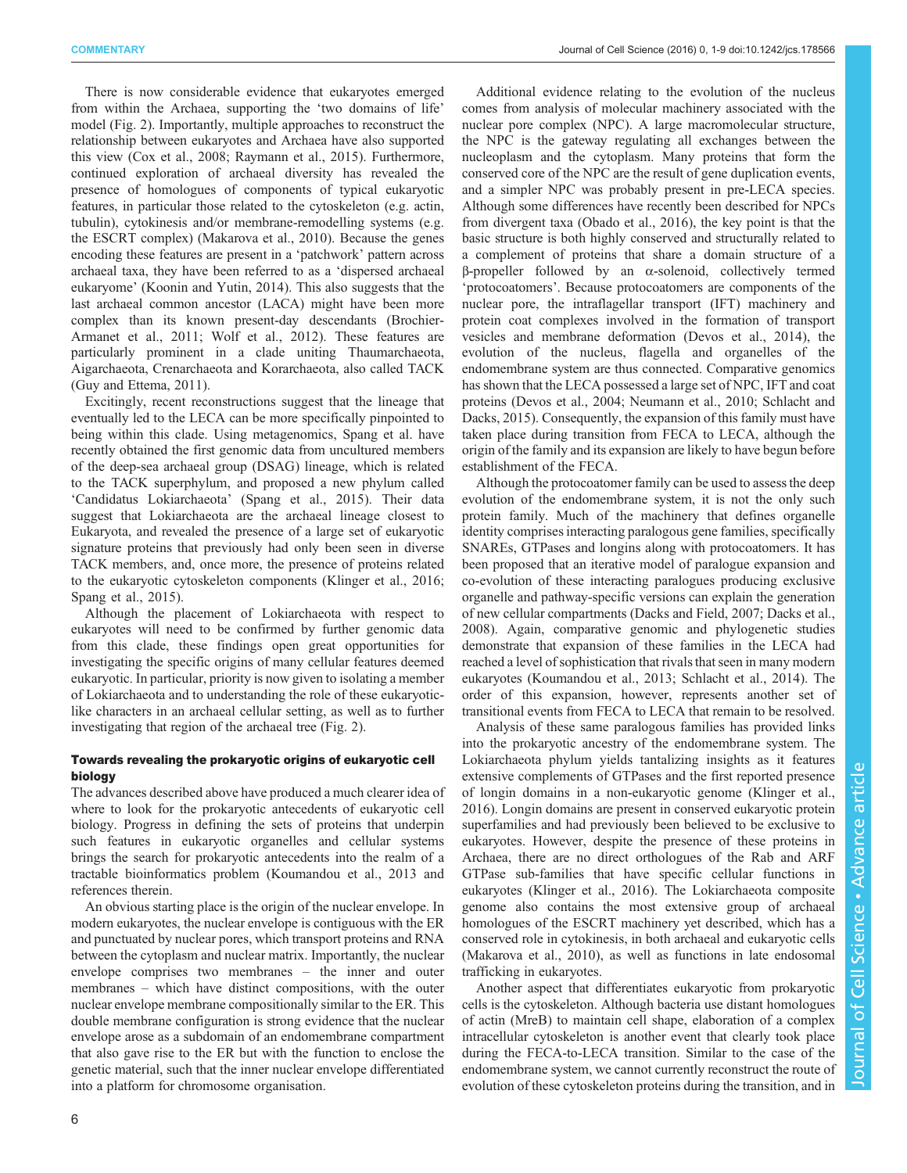There is now considerable evidence that eukaryotes emerged from within the Archaea, supporting the 'two domains of life' model [\(Fig. 2](#page-2-0)). Importantly, multiple approaches to reconstruct the relationship between eukaryotes and Archaea have also supported this view ([Cox et al., 2008;](#page-7-0) [Raymann et al., 2015](#page-8-0)). Furthermore, continued exploration of archaeal diversity has revealed the presence of homologues of components of typical eukaryotic features, in particular those related to the cytoskeleton (e.g. actin, tubulin), cytokinesis and/or membrane-remodelling systems (e.g. the ESCRT complex) ([Makarova et al., 2010\)](#page-8-0). Because the genes encoding these features are present in a 'patchwork' pattern across archaeal taxa, they have been referred to as a 'dispersed archaeal eukaryome' ([Koonin and Yutin, 2014\)](#page-7-0). This also suggests that the last archaeal common ancestor (LACA) might have been more complex than its known present-day descendants [\(Brochier-](#page-7-0)[Armanet et al., 2011;](#page-7-0) [Wolf et al., 2012](#page-8-0)). These features are particularly prominent in a clade uniting Thaumarchaeota, Aigarchaeota, Crenarchaeota and Korarchaeota, also called TACK [\(Guy and Ettema, 2011\)](#page-7-0).

Excitingly, recent reconstructions suggest that the lineage that eventually led to the LECA can be more specifically pinpointed to being within this clade. Using metagenomics, Spang et al. have recently obtained the first genomic data from uncultured members of the deep-sea archaeal group (DSAG) lineage, which is related to the TACK superphylum, and proposed a new phylum called 'Candidatus Lokiarchaeota' ([Spang et al., 2015](#page-8-0)). Their data suggest that Lokiarchaeota are the archaeal lineage closest to Eukaryota, and revealed the presence of a large set of eukaryotic signature proteins that previously had only been seen in diverse TACK members, and, once more, the presence of proteins related to the eukaryotic cytoskeleton components ([Klinger et al., 2016](#page-7-0); [Spang et al., 2015\)](#page-8-0).

Although the placement of Lokiarchaeota with respect to eukaryotes will need to be confirmed by further genomic data from this clade, these findings open great opportunities for investigating the specific origins of many cellular features deemed eukaryotic. In particular, priority is now given to isolating a member of Lokiarchaeota and to understanding the role of these eukaryoticlike characters in an archaeal cellular setting, as well as to further investigating that region of the archaeal tree ([Fig. 2](#page-2-0)).

# Towards revealing the prokaryotic origins of eukaryotic cell biology

The advances described above have produced a much clearer idea of where to look for the prokaryotic antecedents of eukaryotic cell biology. Progress in defining the sets of proteins that underpin such features in eukaryotic organelles and cellular systems brings the search for prokaryotic antecedents into the realm of a tractable bioinformatics problem [\(Koumandou et al., 2013](#page-7-0) and references therein.

An obvious starting place is the origin of the nuclear envelope. In modern eukaryotes, the nuclear envelope is contiguous with the ER and punctuated by nuclear pores, which transport proteins and RNA between the cytoplasm and nuclear matrix. Importantly, the nuclear envelope comprises two membranes – the inner and outer membranes – which have distinct compositions, with the outer nuclear envelope membrane compositionally similar to the ER. This double membrane configuration is strong evidence that the nuclear envelope arose as a subdomain of an endomembrane compartment that also gave rise to the ER but with the function to enclose the genetic material, such that the inner nuclear envelope differentiated into a platform for chromosome organisation.

Additional evidence relating to the evolution of the nucleus comes from analysis of molecular machinery associated with the nuclear pore complex (NPC). A large macromolecular structure, the NPC is the gateway regulating all exchanges between the nucleoplasm and the cytoplasm. Many proteins that form the conserved core of the NPC are the result of gene duplication events, and a simpler NPC was probably present in pre-LECA species. Although some differences have recently been described for NPCs from divergent taxa [\(Obado et al., 2016\)](#page-8-0), the key point is that the basic structure is both highly conserved and structurally related to a complement of proteins that share a domain structure of a β-propeller followed by an α-solenoid, collectively termed 'protocoatomers'. Because protocoatomers are components of the nuclear pore, the intraflagellar transport (IFT) machinery and protein coat complexes involved in the formation of transport vesicles and membrane deformation ([Devos et al., 2014\)](#page-7-0), the evolution of the nucleus, flagella and organelles of the endomembrane system are thus connected. Comparative genomics has shown that the LECA possessed a large set of NPC, IFT and coat proteins [\(Devos et al., 2004](#page-7-0); [Neumann et al., 2010; Schlacht and](#page-8-0) [Dacks, 2015\)](#page-8-0). Consequently, the expansion of this family must have taken place during transition from FECA to LECA, although the origin of the family and its expansion are likely to have begun before establishment of the FECA.

Although the protocoatomer family can be used to assess the deep evolution of the endomembrane system, it is not the only such protein family. Much of the machinery that defines organelle identity comprises interacting paralogous gene families, specifically SNAREs, GTPases and longins along with protocoatomers. It has been proposed that an iterative model of paralogue expansion and co-evolution of these interacting paralogues producing exclusive organelle and pathway-specific versions can explain the generation of new cellular compartments ([Dacks and Field, 2007](#page-7-0); [Dacks et al.,](#page-7-0) [2008\)](#page-7-0). Again, comparative genomic and phylogenetic studies demonstrate that expansion of these families in the LECA had reached a level of sophistication that rivals that seen in many modern eukaryotes [\(Koumandou et al., 2013](#page-7-0); [Schlacht et al., 2014](#page-8-0)). The order of this expansion, however, represents another set of transitional events from FECA to LECA that remain to be resolved.

Analysis of these same paralogous families has provided links into the prokaryotic ancestry of the endomembrane system. The Lokiarchaeota phylum yields tantalizing insights as it features extensive complements of GTPases and the first reported presence of longin domains in a non-eukaryotic genome [\(Klinger et al.,](#page-7-0) [2016\)](#page-7-0). Longin domains are present in conserved eukaryotic protein superfamilies and had previously been believed to be exclusive to eukaryotes. However, despite the presence of these proteins in Archaea, there are no direct orthologues of the Rab and ARF GTPase sub-families that have specific cellular functions in eukaryotes ([Klinger et al., 2016\)](#page-7-0). The Lokiarchaeota composite genome also contains the most extensive group of archaeal homologues of the ESCRT machinery yet described, which has a conserved role in cytokinesis, in both archaeal and eukaryotic cells [\(Makarova et al., 2010](#page-8-0)), as well as functions in late endosomal trafficking in eukaryotes.

Another aspect that differentiates eukaryotic from prokaryotic cells is the cytoskeleton. Although bacteria use distant homologues of actin (MreB) to maintain cell shape, elaboration of a complex intracellular cytoskeleton is another event that clearly took place during the FECA-to-LECA transition. Similar to the case of the endomembrane system, we cannot currently reconstruct the route of evolution of these cytoskeleton proteins during the transition, and in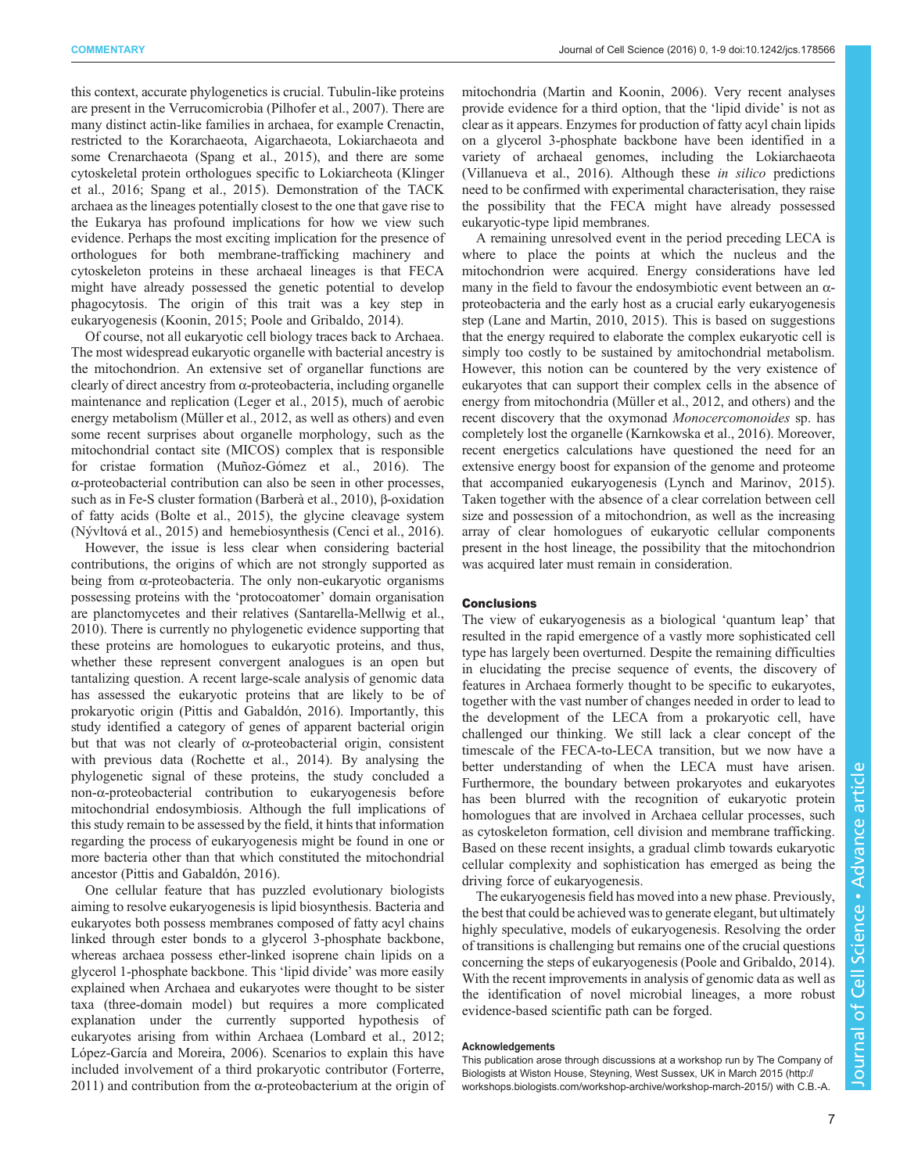this context, accurate phylogenetics is crucial. Tubulin-like proteins are present in the Verrucomicrobia [\(Pilhofer et al., 2007](#page-8-0)). There are many distinct actin-like families in archaea, for example Crenactin, restricted to the Korarchaeota, Aigarchaeota, Lokiarchaeota and some Crenarchaeota ([Spang et al., 2015](#page-8-0)), and there are some cytoskeletal protein orthologues specific to Lokiarcheota [\(Klinger](#page-7-0) [et al., 2016;](#page-7-0) [Spang et al., 2015\)](#page-8-0). Demonstration of the TACK archaea as the lineages potentially closest to the one that gave rise to the Eukarya has profound implications for how we view such evidence. Perhaps the most exciting implication for the presence of orthologues for both membrane-trafficking machinery and cytoskeleton proteins in these archaeal lineages is that FECA might have already possessed the genetic potential to develop phagocytosis. The origin of this trait was a key step in eukaryogenesis ([Koonin, 2015](#page-7-0); [Poole and Gribaldo, 2014](#page-8-0)).

Of course, not all eukaryotic cell biology traces back to Archaea. The most widespread eukaryotic organelle with bacterial ancestry is the mitochondrion. An extensive set of organellar functions are clearly of direct ancestry from α-proteobacteria, including organelle maintenance and replication [\(Leger et al., 2015](#page-7-0)), much of aerobic energy metabolism [\(Müller et al., 2012,](#page-8-0) as well as others) and even some recent surprises about organelle morphology, such as the mitochondrial contact site (MICOS) complex that is responsible for cristae formation ([Muñoz-Gómez et al., 2016\)](#page-8-0). The α-proteobacterial contribution can also be seen in other processes, such as in Fe-S cluster formation ([Barberà et al., 2010](#page-7-0)), β-oxidation of fatty acids [\(Bolte et al., 2015](#page-7-0)), the glycine cleavage system [\(Nývltová et al., 2015\)](#page-8-0) and hemebiosynthesis ([Cenci et al., 2016\)](#page-7-0).

However, the issue is less clear when considering bacterial contributions, the origins of which are not strongly supported as being from α-proteobacteria. The only non-eukaryotic organisms possessing proteins with the 'protocoatomer' domain organisation are planctomycetes and their relatives ([Santarella-Mellwig et al.,](#page-8-0) [2010](#page-8-0)). There is currently no phylogenetic evidence supporting that these proteins are homologues to eukaryotic proteins, and thus, whether these represent convergent analogues is an open but tantalizing question. A recent large-scale analysis of genomic data has assessed the eukaryotic proteins that are likely to be of prokaryotic origin [\(Pittis and Gabaldón, 2016\)](#page-8-0). Importantly, this study identified a category of genes of apparent bacterial origin but that was not clearly of α-proteobacterial origin, consistent with previous data [\(Rochette et al., 2014\)](#page-8-0). By analysing the phylogenetic signal of these proteins, the study concluded a non-α-proteobacterial contribution to eukaryogenesis before mitochondrial endosymbiosis. Although the full implications of this study remain to be assessed by the field, it hints that information regarding the process of eukaryogenesis might be found in one or more bacteria other than that which constituted the mitochondrial ancestor ([Pittis and Gabaldón, 2016\)](#page-8-0).

One cellular feature that has puzzled evolutionary biologists aiming to resolve eukaryogenesis is lipid biosynthesis. Bacteria and eukaryotes both possess membranes composed of fatty acyl chains linked through ester bonds to a glycerol 3-phosphate backbone, whereas archaea possess ether-linked isoprene chain lipids on a glycerol 1-phosphate backbone. This 'lipid divide' was more easily explained when Archaea and eukaryotes were thought to be sister taxa (three-domain model) but requires a more complicated explanation under the currently supported hypothesis of eukaryotes arising from within Archaea [\(Lombard et al., 2012](#page-8-0); [López-García and Moreira, 2006\)](#page-8-0). Scenarios to explain this have included involvement of a third prokaryotic contributor ([Forterre,](#page-7-0) [2011](#page-7-0)) and contribution from the  $\alpha$ -proteobacterium at the origin of mitochondria ([Martin and Koonin, 2006](#page-8-0)). Very recent analyses provide evidence for a third option, that the 'lipid divide' is not as clear as it appears. Enzymes for production of fatty acyl chain lipids on a glycerol 3-phosphate backbone have been identified in a variety of archaeal genomes, including the Lokiarchaeota [\(Villanueva et al., 2016\)](#page-8-0). Although these in silico predictions need to be confirmed with experimental characterisation, they raise the possibility that the FECA might have already possessed eukaryotic-type lipid membranes.

A remaining unresolved event in the period preceding LECA is where to place the points at which the nucleus and the mitochondrion were acquired. Energy considerations have led many in the field to favour the endosymbiotic event between an  $\alpha$ proteobacteria and the early host as a crucial early eukaryogenesis step [\(Lane and Martin, 2010](#page-7-0), [2015\)](#page-7-0). This is based on suggestions that the energy required to elaborate the complex eukaryotic cell is simply too costly to be sustained by amitochondrial metabolism. However, this notion can be countered by the very existence of eukaryotes that can support their complex cells in the absence of energy from mitochondria ([Müller et al., 2012,](#page-8-0) and others) and the recent discovery that the oxymonad Monocercomonoides sp. has completely lost the organelle ([Karnkowska et al., 2016](#page-7-0)). Moreover, recent energetics calculations have questioned the need for an extensive energy boost for expansion of the genome and proteome that accompanied eukaryogenesis ([Lynch and Marinov, 2015\)](#page-8-0). Taken together with the absence of a clear correlation between cell size and possession of a mitochondrion, as well as the increasing array of clear homologues of eukaryotic cellular components present in the host lineage, the possibility that the mitochondrion was acquired later must remain in consideration.

## Conclusions

The view of eukaryogenesis as a biological 'quantum leap' that resulted in the rapid emergence of a vastly more sophisticated cell type has largely been overturned. Despite the remaining difficulties in elucidating the precise sequence of events, the discovery of features in Archaea formerly thought to be specific to eukaryotes, together with the vast number of changes needed in order to lead to the development of the LECA from a prokaryotic cell, have challenged our thinking. We still lack a clear concept of the timescale of the FECA-to-LECA transition, but we now have a better understanding of when the LECA must have arisen. Furthermore, the boundary between prokaryotes and eukaryotes has been blurred with the recognition of eukaryotic protein homologues that are involved in Archaea cellular processes, such as cytoskeleton formation, cell division and membrane trafficking. Based on these recent insights, a gradual climb towards eukaryotic cellular complexity and sophistication has emerged as being the driving force of eukaryogenesis.

The eukaryogenesis field has moved into a new phase. Previously, the best that could be achieved was to generate elegant, but ultimately highly speculative, models of eukaryogenesis. Resolving the order of transitions is challenging but remains one of the crucial questions concerning the steps of eukaryogenesis ([Poole and Gribaldo, 2014\)](#page-8-0). With the recent improvements in analysis of genomic data as well as the identification of novel microbial lineages, a more robust evidence-based scientific path can be forged.

#### Acknowledgements

This publication arose through discussions at a workshop run by The Company of Biologists at Wiston House, Steyning, West Sussex, UK in March 2015 ([http://](http://workshops.biologists.com/workshop-archive/workshop-march-2015/) [workshops.biologists.com/workshop-archive/workshop-march-2015/\)](http://workshops.biologists.com/workshop-archive/workshop-march-2015/) with C.B.-A.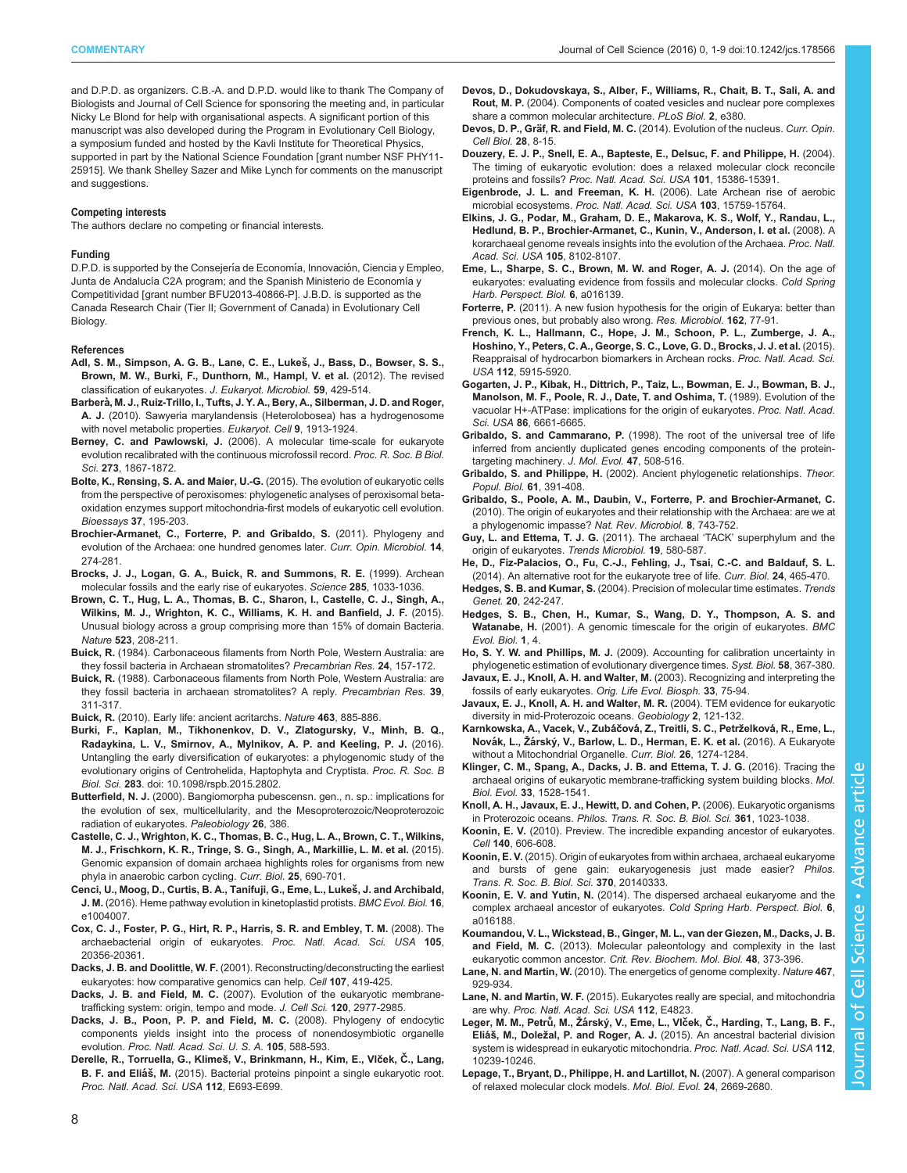<span id="page-7-0"></span>and D.P.D. as organizers. C.B.-A. and D.P.D. would like to thank The Company of Biologists and Journal of Cell Science for sponsoring the meeting and, in particular Nicky Le Blond for help with organisational aspects. A significant portion of this manuscript was also developed during the Program in Evolutionary Cell Biology, a symposium funded and hosted by the Kavli Institute for Theoretical Physics, supported in part by the National Science Foundation [grant number NSF PHY11- 25915]. We thank Shelley Sazer and Mike Lynch for comments on the manuscript and suggestions.

#### Competing interests

The authors declare no competing or financial interests.

#### Funding

D.P.D. is supported by the Consejería de Economía, Innovación, Ciencia y Empleo, Junta de Andalucía C2A program; and the Spanish Ministerio de Economía y Competitividad [grant number BFU2013-40866-P]. J.B.D. is supported as the Canada Research Chair (Tier II; Government of Canada) in Evolutionary Cell Biology.

#### References

- Adl, S. M., Simpson, A. G. B., Lane, C. E., Lukeš, J., Bass, D., Bowser, S. S., [Brown, M. W., Burki, F., Dunthorn, M., Hampl, V. et al.](http://dx.doi.org/10.1111/j.1550-7408.2012.00644.x) (2012). The revised [classification of eukaryotes.](http://dx.doi.org/10.1111/j.1550-7408.2012.00644.x) J. Eukaryot. Microbiol. 59, 429-514.
- Barberà, M. J., Ruiz-Trillo, I., Tufts, J. Y. A., Bery, A., Silberman, J. D. and Roger, A. J. [\(2010\). Sawyeria marylandensis \(Heterolobosea\) has a hydrogenosome](http://dx.doi.org/10.1128/EC.00122-10) [with novel metabolic properties.](http://dx.doi.org/10.1128/EC.00122-10) Eukaryot. Cell 9, 1913-1924.
- Berney, C. and Pawlowski, J. [\(2006\). A molecular time-scale for eukaryote](http://dx.doi.org/10.1098/rspb.2006.3537) [evolution recalibrated with the continuous microfossil record.](http://dx.doi.org/10.1098/rspb.2006.3537) Proc. R. Soc. B Biol. Sci. 273[, 1867-1872.](http://dx.doi.org/10.1098/rspb.2006.3537)
- [Bolte, K., Rensing, S. A. and Maier, U.-G.](http://dx.doi.org/10.1002/bies.201400151) (2015). The evolution of eukaryotic cells [from the perspective of peroxisomes: phylogenetic analyses of peroxisomal beta](http://dx.doi.org/10.1002/bies.201400151)[oxidation enzymes support mitochondria-first models of eukaryotic cell evolution.](http://dx.doi.org/10.1002/bies.201400151) [Bioessays](http://dx.doi.org/10.1002/bies.201400151) 37, 195-203.
- [Brochier-Armanet, C., Forterre, P. and Gribaldo, S.](http://dx.doi.org/10.1016/j.mib.2011.04.015) (2011). Phylogeny and [evolution of the Archaea: one hundred genomes later.](http://dx.doi.org/10.1016/j.mib.2011.04.015) Curr. Opin. Microbiol. 14, [274-281.](http://dx.doi.org/10.1016/j.mib.2011.04.015)
- [Brocks, J. J., Logan, G. A., Buick, R. and Summons, R. E.](http://dx.doi.org/10.1126/science.285.5430.1033) (1999). Archean [molecular fossils and the early rise of eukaryotes.](http://dx.doi.org/10.1126/science.285.5430.1033) Science 285, 1033-1036.
- [Brown, C. T., Hug, L. A., Thomas, B. C., Sharon, I., Castelle, C. J., Singh, A.,](http://dx.doi.org/10.1038/nature14486) [Wilkins, M. J., Wrighton, K. C., Williams, K. H. and Banfield, J. F.](http://dx.doi.org/10.1038/nature14486) (2015). [Unusual biology across a group comprising more than 15% of domain Bacteria.](http://dx.doi.org/10.1038/nature14486) Nature 523[, 208-211.](http://dx.doi.org/10.1038/nature14486)
- Buick, R. [\(1984\). Carbonaceous filaments from North Pole, Western Australia: are](http://dx.doi.org/10.1016/0301-9268(84)90056-1) [they fossil bacteria in Archaean stromatolites?](http://dx.doi.org/10.1016/0301-9268(84)90056-1) Precambrian Res. 24, 157-172.
- Buick, R. [\(1988\). Carbonaceous filaments from North Pole, Western Australia: are](http://dx.doi.org/10.1016/0301-9268(88)90024-1) [they fossil bacteria in archaean stromatolites? A reply.](http://dx.doi.org/10.1016/0301-9268(88)90024-1) Precambrian Res. 39, [311-317.](http://dx.doi.org/10.1016/0301-9268(88)90024-1)

Buick, R. [\(2010\). Early life: ancient acritarchs.](http://dx.doi.org/10.1038/463885a) Nature 463, 885-886.

- [Burki, F., Kaplan, M., Tikhonenkov, D. V., Zlatogursky, V., Minh, B. Q.,](http://dx.doi.org/10.1098/rspb.2015.2802) [Radaykina, L. V., Smirnov, A., Mylnikov, A. P. and Keeling, P. J.](http://dx.doi.org/10.1098/rspb.2015.2802) (2016). [Untangling the early diversification of eukaryotes: a phylogenomic study of the](http://dx.doi.org/10.1098/rspb.2015.2802) [evolutionary origins of Centrohelida, Haptophyta and Cryptista.](http://dx.doi.org/10.1098/rspb.2015.2802) Proc. R. Soc. B Biol. Sci. 283[. doi: 10.1098/rspb.2015.2802.](http://dx.doi.org/10.1098/rspb.2015.2802)
- Butterfield, N. J. [\(2000\). Bangiomorpha pubescensn. gen., n. sp.: implications for](http://dx.doi.org/10.1666/0094-8373(2000)026<0386:BPNGNS%2.0.CO;2) [the evolution of sex, multicellularity, and the Mesoproterozoic/Neoproterozoic](http://dx.doi.org/10.1666/0094-8373(2000)026<0386:BPNGNS%2.0.CO;2) [radiation of eukaryotes.](http://dx.doi.org/10.1666/0094-8373(2000)026<0386:BPNGNS%2.0.CO;2) Paleobiology 26, 386.
- [Castelle, C. J., Wrighton, K. C., Thomas, B. C., Hug, L. A., Brown, C. T., Wilkins,](http://dx.doi.org/10.1016/j.cub.2015.01.014) [M. J., Frischkorn, K. R., Tringe, S. G., Singh, A., Markillie, L. M. et al.](http://dx.doi.org/10.1016/j.cub.2015.01.014) (2015). [Genomic expansion of domain archaea highlights roles for organisms from new](http://dx.doi.org/10.1016/j.cub.2015.01.014) [phyla in anaerobic carbon cycling.](http://dx.doi.org/10.1016/j.cub.2015.01.014) Curr. Biol. 25, 690-701.
- Cenci, U., Moog, D., Curtis, B. A., Tanifuji, G., Eme, L., Lukeš, J. and Archibald, J. M. [\(2016\). Heme pathway evolution in kinetoplastid protists.](http://dx.doi.org/10.1186/s12862-016-0664-6) BMC Evol. Biol. 16, [e1004007.](http://dx.doi.org/10.1186/s12862-016-0664-6)
- [Cox, C. J., Foster, P. G., Hirt, R. P., Harris, S. R. and Embley, T. M.](http://dx.doi.org/10.1073/pnas.0810647105) (2008). The [archaebacterial origin of eukaryotes.](http://dx.doi.org/10.1073/pnas.0810647105) Proc. Natl. Acad. Sci. USA 105, [20356-20361.](http://dx.doi.org/10.1073/pnas.0810647105)
- Dacks, J. B. and Doolittle, W. F. [\(2001\). Reconstructing/deconstructing the earliest](http://dx.doi.org/10.1016/S0092-8674(01)00584-0) [eukaryotes: how comparative genomics can help.](http://dx.doi.org/10.1016/S0092-8674(01)00584-0) Cell 107, 419-425.
- Dacks, J. B. and Field, M. C. [\(2007\). Evolution of the eukaryotic membrane](http://dx.doi.org/10.1242/jcs.013250)[trafficking system: origin, tempo and mode.](http://dx.doi.org/10.1242/jcs.013250) J. Cell Sci. 120, 2977-2985.
- [Dacks, J. B., Poon, P. P. and Field, M. C.](http://dx.doi.org/10.1073/pnas.0707318105) (2008). Phylogeny of endocytic [components yields insight into the process of nonendosymbiotic organelle](http://dx.doi.org/10.1073/pnas.0707318105) evolution. [Proc. Natl. Acad. Sci. U. S. A.](http://dx.doi.org/10.1073/pnas.0707318105) 105, 588-593.
- Derelle, R., Torruella, G., Klimeš, V., Brinkmann, H., Kim, E., Vlček, Č., Lang, B. F. and Eliáš, M. [\(2015\). Bacterial proteins pinpoint a single eukaryotic root.](http://dx.doi.org/10.1073/pnas.1420657112) [Proc. Natl. Acad. Sci. USA](http://dx.doi.org/10.1073/pnas.1420657112) 112, E693-E699.
- [Devos, D., Dokudovskaya, S., Alber, F., Williams, R., Chait, B. T., Sali, A. and](http://dx.doi.org/10.1371/journal.pbio.0020380) Rout, M. P. [\(2004\). Components of coated vesicles and nuclear pore complexes](http://dx.doi.org/10.1371/journal.pbio.0020380) [share a common molecular architecture.](http://dx.doi.org/10.1371/journal.pbio.0020380) PLoS Biol. 2, e380.
- Devos, D. P., Gräf, R. and Field, M. C. [\(2014\). Evolution of the nucleus.](http://dx.doi.org/10.1016/j.ceb.2014.01.004) Curr. Opin. [Cell Biol.](http://dx.doi.org/10.1016/j.ceb.2014.01.004) 28, 8-15.
- [Douzery, E. J. P., Snell, E. A., Bapteste, E., Delsuc, F. and Philippe, H.](http://dx.doi.org/10.1073/pnas.0403984101) (2004). [The timing of eukaryotic evolution: does a relaxed molecular clock reconcile](http://dx.doi.org/10.1073/pnas.0403984101) proteins and fossils? [Proc. Natl. Acad. Sci. USA](http://dx.doi.org/10.1073/pnas.0403984101) 101, 15386-15391.
- [Eigenbrode, J. L. and Freeman, K. H.](http://dx.doi.org/10.1073/pnas.0607540103) (2006). Late Archean rise of aerobic microbial ecosystems. [Proc. Natl. Acad. Sci. USA](http://dx.doi.org/10.1073/pnas.0607540103) 103, 15759-15764.
- [Elkins, J. G., Podar, M., Graham, D. E., Makarova, K. S., Wolf, Y., Randau, L.,](http://dx.doi.org/10.1073/pnas.0801980105) [Hedlund, B. P., Brochier-Armanet, C., Kunin, V., Anderson, I. et al.](http://dx.doi.org/10.1073/pnas.0801980105) (2008). A [korarchaeal genome reveals insights into the evolution of the Archaea.](http://dx.doi.org/10.1073/pnas.0801980105) Proc. Natl. [Acad. Sci. USA](http://dx.doi.org/10.1073/pnas.0801980105) 105, 8102-8107.
- [Eme, L., Sharpe, S. C., Brown, M. W. and Roger, A. J.](http://dx.doi.org/10.1101/cshperspect.a016139) (2014). On the age of [eukaryotes: evaluating evidence from fossils and molecular clocks.](http://dx.doi.org/10.1101/cshperspect.a016139) Cold Spring [Harb. Perspect. Biol.](http://dx.doi.org/10.1101/cshperspect.a016139) 6, a016139.
- Forterre, P. [\(2011\). A new fusion hypothesis for the origin of Eukarya: better than](http://dx.doi.org/10.1016/j.resmic.2010.10.005) [previous ones, but probably also wrong.](http://dx.doi.org/10.1016/j.resmic.2010.10.005) Res. Microbiol. 162, 77-91.
- [French, K. L., Hallmann, C., Hope, J. M., Schoon, P. L., Zumberge, J. A.,](http://dx.doi.org/10.1073/pnas.1419563112) [Hoshino, Y., Peters, C. A., George, S. C., Love, G. D., Brocks, J. J. et al.](http://dx.doi.org/10.1073/pnas.1419563112) (2015). [Reappraisal of hydrocarbon biomarkers in Archean rocks.](http://dx.doi.org/10.1073/pnas.1419563112) Proc. Natl. Acad. Sci. USA 112[, 5915-5920.](http://dx.doi.org/10.1073/pnas.1419563112)
- [Gogarten, J. P., Kibak, H., Dittrich, P., Taiz, L., Bowman, E. J., Bowman, B. J.,](http://dx.doi.org/10.1073/pnas.86.17.6661) [Manolson, M. F., Poole, R. J., Date, T. and Oshima, T.](http://dx.doi.org/10.1073/pnas.86.17.6661) (1989). Evolution of the [vacuolar H+-ATPase: implications for the origin of eukaryotes.](http://dx.doi.org/10.1073/pnas.86.17.6661) Proc. Natl. Acad. Sci. USA 86, [6661-6665.](http://dx.doi.org/10.1073/pnas.86.17.6661)
- Gribaldo, S. and Cammarano, P. [\(1998\). The root of the universal tree of life](http://dx.doi.org/10.1007/PL00006407) [inferred from anciently duplicated genes encoding components of the protein](http://dx.doi.org/10.1007/PL00006407)[targeting machinery.](http://dx.doi.org/10.1007/PL00006407) J. Mol. Evol. 47, 508-516.
- Gribaldo, S. and Philippe, H. [\(2002\). Ancient phylogenetic relationships.](http://dx.doi.org/10.1006/tpbi.2002.1593) Theor. [Popul. Biol.](http://dx.doi.org/10.1006/tpbi.2002.1593) 61, 391-408.
- [Gribaldo, S., Poole, A. M., Daubin, V., Forterre, P. and Brochier-Armanet, C.](http://dx.doi.org/10.1038/nrmicro2426) [\(2010\). The origin of eukaryotes and their relationship with the Archaea: are we at](http://dx.doi.org/10.1038/nrmicro2426) [a phylogenomic impasse?](http://dx.doi.org/10.1038/nrmicro2426) Nat. Rev. Microbiol. 8, 743-752.
- [Guy, L. and Ettema, T. J. G.](http://dx.doi.org/10.1016/j.tim.2011.09.002) (2011). The archaeal 'TACK' superphylum and the [origin of eukaryotes.](http://dx.doi.org/10.1016/j.tim.2011.09.002) Trends Microbiol. 19, 580-587.
- [He, D., Fiz-Palacios, O., Fu, C.-J., Fehling, J., Tsai, C.-C. and Baldauf, S. L.](http://dx.doi.org/10.1016/j.cub.2014.01.036) [\(2014\). An alternative root for the eukaryote tree of life.](http://dx.doi.org/10.1016/j.cub.2014.01.036) Curr. Biol. 24, 465-470. Hedges, S. B. and Kumar, S. [\(2004\). Precision of molecular time estimates.](http://dx.doi.org/10.1016/j.tig.2004.03.004) Trends
- Genet. 20[, 242-247.](http://dx.doi.org/10.1016/j.tig.2004.03.004) [Hedges, S. B., Chen, H., Kumar, S., Wang, D. Y., Thompson, A. S. and](http://dx.doi.org/10.1186/1471-2148-1-4)
- Watanabe, H. [\(2001\). A genomic timescale for the origin of eukaryotes.](http://dx.doi.org/10.1186/1471-2148-1-4) BMC [Evol. Biol.](http://dx.doi.org/10.1186/1471-2148-1-4) 1, 4.
- Ho, S. Y. W. and Phillips, M. J. [\(2009\). Accounting for calibration uncertainty in](http://dx.doi.org/10.1093/sysbio/syp035) [phylogenetic estimation of evolutionary divergence times.](http://dx.doi.org/10.1093/sysbio/syp035) Syst. Biol. 58, 367-380.
- [Javaux, E. J., Knoll, A. H. and Walter, M.](http://dx.doi.org/10.1023/A:1023992712071) (2003). Recognizing and interpreting the [fossils of early eukaryotes.](http://dx.doi.org/10.1023/A:1023992712071) Orig. Life Evol. Biosph. 33, 75-94.
- [Javaux, E. J., Knoll, A. H. and Walter, M. R.](http://dx.doi.org/10.1111/j.1472-4677.2004.00027.x) (2004). TEM evidence for eukaryotic [diversity in mid-Proterozoic oceans.](http://dx.doi.org/10.1111/j.1472-4677.2004.00027.x) Geobiology 2, 121-132.
- Karnkowska, A., Vacek, V., Zubáčová, Z., Treitli, S. C., Petrželková, R., Eme, L., Novák, L., Žá[rský, V., Barlow, L. D., Herman, E. K. et al.](http://dx.doi.org/10.1016/j.cub.2016.03.053) (2016). A Eukaryote [without a Mitochondrial Organelle.](http://dx.doi.org/10.1016/j.cub.2016.03.053) Curr. Biol. 26, 1274-1284.
- [Klinger, C. M., Spang, A., Dacks, J. B. and Ettema, T. J. G.](http://dx.doi.org/10.1093/molbev/msw034) (2016). Tracing the [archaeal origins of eukaryotic membrane-trafficking system building blocks.](http://dx.doi.org/10.1093/molbev/msw034) Mol. Biol. Evol. 33[, 1528-1541.](http://dx.doi.org/10.1093/molbev/msw034)
- [Knoll, A. H., Javaux, E. J., Hewitt, D. and Cohen, P.](http://dx.doi.org/10.1098/rstb.2006.1843) (2006). Eukaryotic organisms in Proterozoic oceans. [Philos. Trans. R. Soc. B. Biol. Sci.](http://dx.doi.org/10.1098/rstb.2006.1843) 361, 1023-1038.
- Koonin, E. V. [\(2010\). Preview. The incredible expanding ancestor of eukaryotes.](http://dx.doi.org/10.1016/j.cell.2010.02.022) Cell 140, 606-608
- Koonin, E. V. [\(2015\). Origin of eukaryotes from within archaea, archaeal eukaryome](http://dx.doi.org/10.1098/rstb.2014.0333) [and bursts of gene gain: eukaryogenesis just made easier?](http://dx.doi.org/10.1098/rstb.2014.0333) Philos. [Trans. R. Soc. B. Biol. Sci.](http://dx.doi.org/10.1098/rstb.2014.0333) 370, 20140333.
- Koonin, E. V. and Yutin, N. [\(2014\). The dispersed archaeal eukaryome and the](http://dx.doi.org/10.1101/cshperspect.a016188) [complex archaeal ancestor of eukaryotes.](http://dx.doi.org/10.1101/cshperspect.a016188) Cold Spring Harb. Perspect. Biol. 6, [a016188.](http://dx.doi.org/10.1101/cshperspect.a016188)
- [Koumandou, V. L., Wickstead, B., Ginger, M. L., van der Giezen, M., Dacks, J. B.](http://dx.doi.org/10.3109/10409238.2013.821444) and Field, M. C. [\(2013\). Molecular paleontology and complexity in the last](http://dx.doi.org/10.3109/10409238.2013.821444) [eukaryotic common ancestor.](http://dx.doi.org/10.3109/10409238.2013.821444) Crit. Rev. Biochem. Mol. Biol. 48, 373-396.
- Lane, N. and Martin, W. [\(2010\). The energetics of genome complexity.](http://dx.doi.org/10.1038/nature09486) Nature 467, [929-934.](http://dx.doi.org/10.1038/nature09486)
- Lane, N. and Martin, W. F. [\(2015\). Eukaryotes really are special, and mitochondria](http://dx.doi.org/10.1073/pnas.1509237112) are why. [Proc. Natl. Acad. Sci. USA](http://dx.doi.org/10.1073/pnas.1509237112) 112, E4823.
- Leger, M. M., Petrů, M., Žárský, V., Eme, L., Vlček, Č[., Harding, T., Lang, B. F.,](http://dx.doi.org/10.1073/pnas.1421392112) Eliáš, M., Doležal, P. and Roger, A. J. [\(2015\). An ancestral bacterial division](http://dx.doi.org/10.1073/pnas.1421392112) [system is widespread in eukaryotic mitochondria.](http://dx.doi.org/10.1073/pnas.1421392112) Proc. Natl. Acad. Sci. USA 112, [10239-10246.](http://dx.doi.org/10.1073/pnas.1421392112)
- [Lepage, T., Bryant, D., Philippe, H. and Lartillot, N.](http://dx.doi.org/10.1093/molbev/msm193) (2007). A general comparison [of relaxed molecular clock models.](http://dx.doi.org/10.1093/molbev/msm193) Mol. Biol. Evol. 24, 2669-2680.